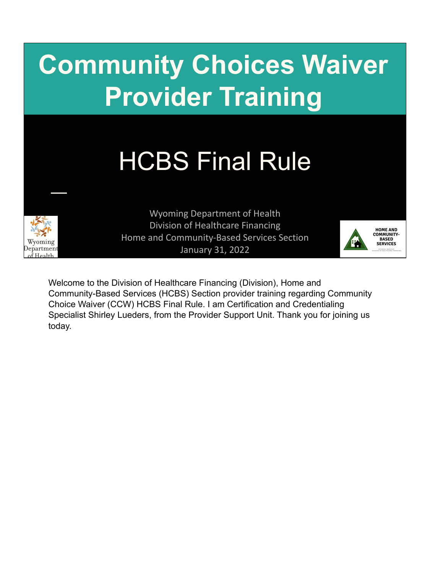# **Community Choices Waiver Provider Training**

# HCBS Final Rule



Wyoming Department of Health Division of Healthcare Financing Home and Community-Based Services Section January 31, 2022



Welcome to the Division of Healthcare Financing (Division), Home and Community-Based Services (HCBS) Section provider training regarding Community Choice Waiver (CCW) HCBS Final Rule. I am Certification and Credentialing Specialist Shirley Lueders, from the Provider Support Unit. Thank you for joining us today.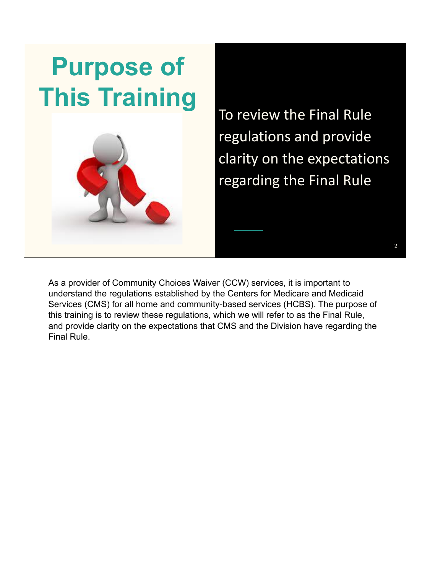

To review the Final Rule regulations and provide clarity on the expectations regarding the Final Rule

2

As a provider of Community Choices Waiver (CCW) services, it is important to understand the regulations established by the Centers for Medicare and Medicaid Services (CMS) for all home and community-based services (HCBS). The purpose of this training is to review these regulations, which we will refer to as the Final Rule, and provide clarity on the expectations that CMS and the Division have regarding the Final Rule.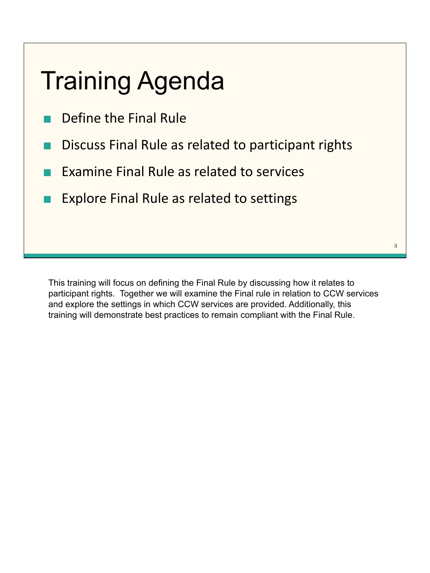## Training Agenda

- Define the Final Rule
- **Discuss Final Rule as related to participant rights**
- Examine Final Rule as related to services
- **Explore Final Rule as related to settings**

This training will focus on defining the Final Rule by discussing how it relates to participant rights. Together we will examine the Final rule in relation to CCW services and explore the settings in which CCW services are provided. Additionally, this training will demonstrate best practices to remain compliant with the Final Rule.

3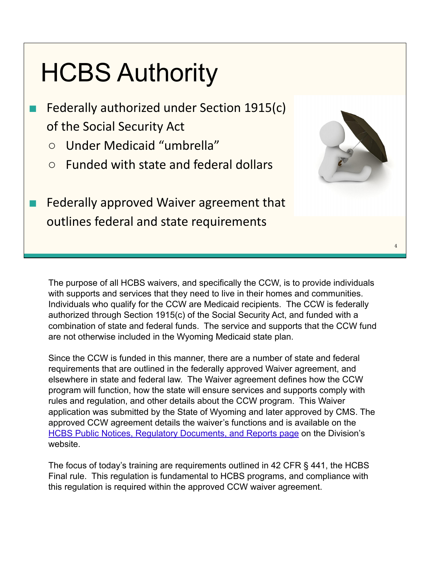## HCBS Authority

- Federally authorized under Section 1915(c) of the Social Security Act
	- Under Medicaid "umbrella"
	- Funded with state and federal dollars

■ Federally approved Waiver agreement that outlines federal and state requirements



4

The purpose of all HCBS waivers, and specifically the CCW, is to provide individuals with supports and services that they need to live in their homes and communities. Individuals who qualify for the CCW are Medicaid recipients. The CCW is federally authorized through Section 1915(c) of the Social Security Act, and funded with a combination of state and federal funds. The service and supports that the CCW fund are not otherwise included in the Wyoming Medicaid state plan.

Since the CCW is funded in this manner, there are a number of state and federal requirements that are outlined in the federally approved Waiver agreement, and elsewhere in state and federal law. The Waiver agreement defines how the CCW program will function, how the state will ensure services and supports comply with rules and regulation, and other details about the CCW program. This Waiver application was submitted by the State of Wyoming and later approved by CMS. The approved CCW agreement details the waiver's functions and is available on the [HCBS Public Notices, Regulatory Documents, and Reports page](https://health.wyo.gov/healthcarefin/hcbs/hcbs-public-notices/) on the Division's website.

The focus of today's training are requirements outlined in 42 CFR § 441, the HCBS Final rule. This regulation is fundamental to HCBS programs, and compliance with this regulation is required within the approved CCW waiver agreement.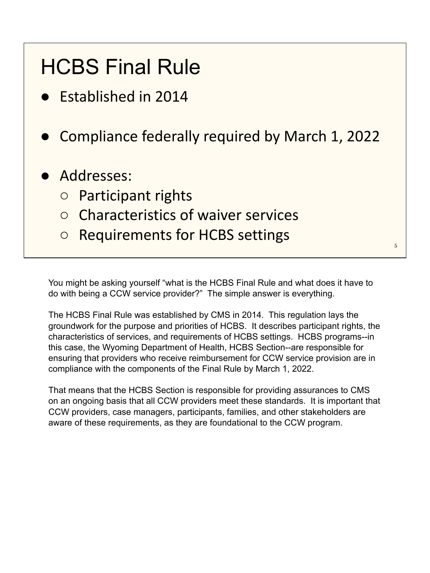#### HCBS Final Rule

- **Established in 2014**
- Compliance federally required by March 1, 2022
- Addresses:
	- Participant rights
	- Characteristics of waiver services
	- Requirements for HCBS settings

You might be asking yourself "what is the HCBS Final Rule and what does it have to do with being a CCW service provider?" The simple answer is everything.

5

The HCBS Final Rule was established by CMS in 2014. This regulation lays the groundwork for the purpose and priorities of HCBS. It describes participant rights, the characteristics of services, and requirements of HCBS settings. HCBS programs--in this case, the Wyoming Department of Health, HCBS Section--are responsible for ensuring that providers who receive reimbursement for CCW service provision are in compliance with the components of the Final Rule by March 1, 2022.

That means that the HCBS Section is responsible for providing assurances to CMS on an ongoing basis that all CCW providers meet these standards. It is important that CCW providers, case managers, participants, families, and other stakeholders are aware of these requirements, as they are foundational to the CCW program.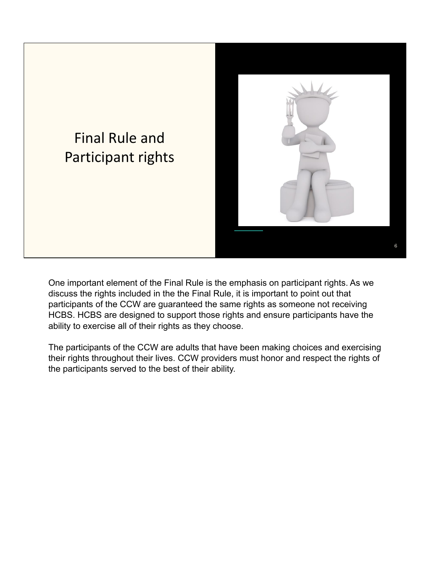

One important element of the Final Rule is the emphasis on participant rights. As we discuss the rights included in the the Final Rule, it is important to point out that participants of the CCW are guaranteed the same rights as someone not receiving HCBS. HCBS are designed to support those rights and ensure participants have the ability to exercise all of their rights as they choose.

The participants of the CCW are adults that have been making choices and exercising their rights throughout their lives. CCW providers must honor and respect the rights of the participants served to the best of their ability.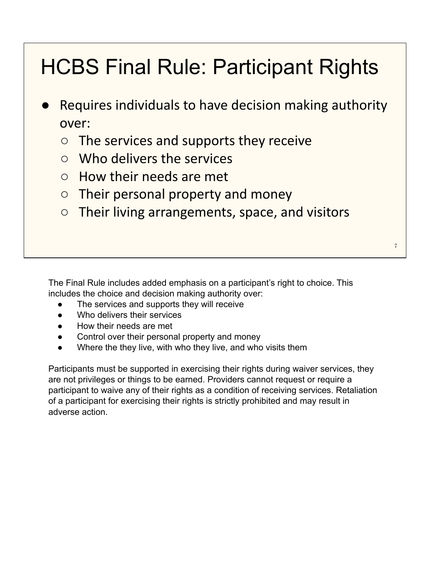#### HCBS Final Rule: Participant Rights

- Requires individuals to have decision making authority over:
	- $\circ$  The services and supports they receive
	- Who delivers the services
	- How their needs are met
	- $\circ$  Their personal property and money
	- Their living arrangements, space, and visitors

The Final Rule includes added emphasis on a participant's right to choice. This includes the choice and decision making authority over:

- The services and supports they will receive
- Who delivers their services
- How their needs are met
- Control over their personal property and money
- Where the they live, with who they live, and who visits them

Participants must be supported in exercising their rights during waiver services, they are not privileges or things to be earned. Providers cannot request or require a participant to waive any of their rights as a condition of receiving services. Retaliation of a participant for exercising their rights is strictly prohibited and may result in adverse action.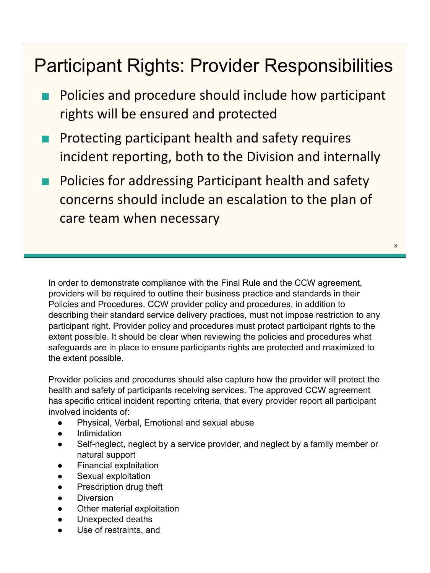#### Participant Rights: Provider Responsibilities

- Policies and procedure should include how participant rights will be ensured and protected
- Protecting participant health and safety requires incident reporting, both to the Division and internally
- Policies for addressing Participant health and safety concerns should include an escalation to the plan of care team when necessary

In order to demonstrate compliance with the Final Rule and the CCW agreement, providers will be required to outline their business practice and standards in their Policies and Procedures. CCW provider policy and procedures, in addition to describing their standard service delivery practices, must not impose restriction to any participant right. Provider policy and procedures must protect participant rights to the extent possible. It should be clear when reviewing the policies and procedures what safeguards are in place to ensure participants rights are protected and maximized to the extent possible.

8

Provider policies and procedures should also capture how the provider will protect the health and safety of participants receiving services. The approved CCW agreement has specific critical incident reporting criteria, that every provider report all participant involved incidents of:

- Physical, Verbal, Emotional and sexual abuse
- **Intimidation**
- Self-neglect, neglect by a service provider, and neglect by a family member or natural support
- **Financial exploitation**
- Sexual exploitation
- Prescription drug theft
- **Diversion**
- Other material exploitation
- Unexpected deaths
- Use of restraints, and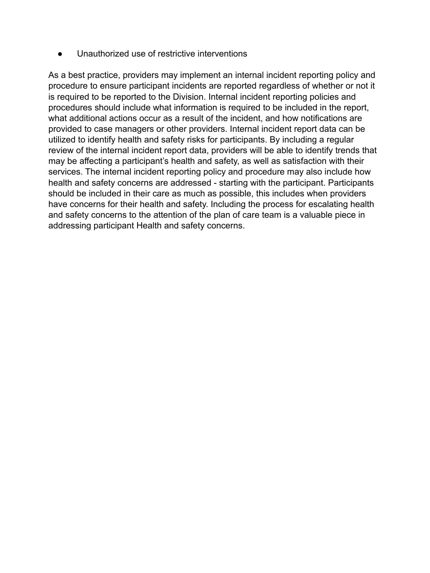● Unauthorized use of restrictive interventions

As a best practice, providers may implement an internal incident reporting policy and procedure to ensure participant incidents are reported regardless of whether or not it is required to be reported to the Division. Internal incident reporting policies and procedures should include what information is required to be included in the report, what additional actions occur as a result of the incident, and how notifications are provided to case managers or other providers. Internal incident report data can be utilized to identify health and safety risks for participants. By including a regular review of the internal incident report data, providers will be able to identify trends that may be affecting a participant's health and safety, as well as satisfaction with their services. The internal incident reporting policy and procedure may also include how health and safety concerns are addressed - starting with the participant. Participants should be included in their care as much as possible, this includes when providers have concerns for their health and safety. Including the process for escalating health and safety concerns to the attention of the plan of care team is a valuable piece in addressing participant Health and safety concerns.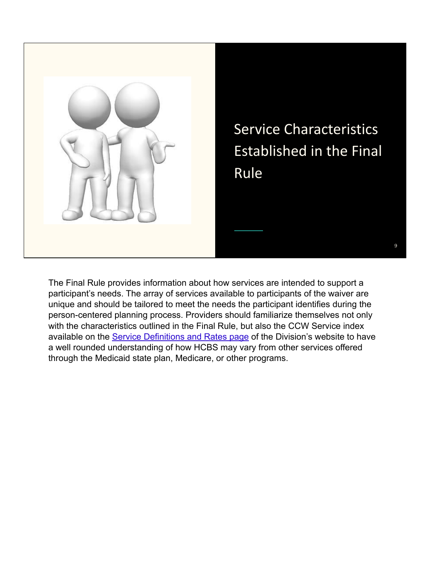

Service Characteristics Established in the Final

9

The Final Rule provides information about how services are intended to support a participant's needs. The array of services available to participants of the waiver are unique and should be tailored to meet the needs the participant identifies during the person-centered planning process. Providers should familiarize themselves not only with the characteristics outlined in the Final Rule, but also the CCW Service index available on the [Service Definitions and Rates page](https://health.wyo.gov/healthcarefin/hcbs/servicesandrates/) of the Division's website to have a well rounded understanding of how HCBS may vary from other services offered through the Medicaid state plan, Medicare, or other programs.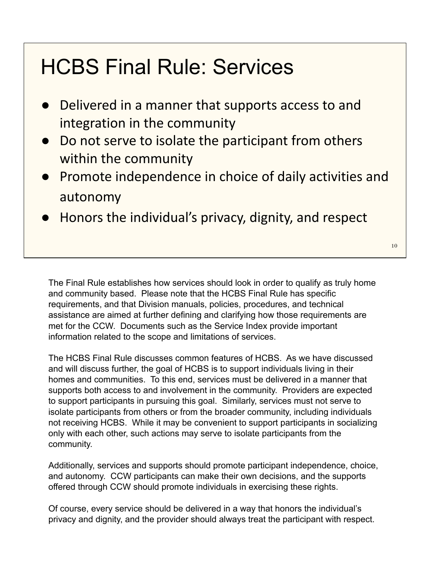#### HCBS Final Rule: Services

- Delivered in a manner that supports access to and integration in the community
- Do not serve to isolate the participant from others within the community
- Promote independence in choice of daily activities and autonomy
- Honors the individual's privacy, dignity, and respect

The Final Rule establishes how services should look in order to qualify as truly home and community based. Please note that the HCBS Final Rule has specific requirements, and that Division manuals, policies, procedures, and technical assistance are aimed at further defining and clarifying how those requirements are met for the CCW. Documents such as the Service Index provide important information related to the scope and limitations of services.

The HCBS Final Rule discusses common features of HCBS. As we have discussed and will discuss further, the goal of HCBS is to support individuals living in their homes and communities. To this end, services must be delivered in a manner that supports both access to and involvement in the community. Providers are expected to support participants in pursuing this goal. Similarly, services must not serve to isolate participants from others or from the broader community, including individuals not receiving HCBS. While it may be convenient to support participants in socializing only with each other, such actions may serve to isolate participants from the community.

Additionally, services and supports should promote participant independence, choice, and autonomy. CCW participants can make their own decisions, and the supports offered through CCW should promote individuals in exercising these rights.

Of course, every service should be delivered in a way that honors the individual's privacy and dignity, and the provider should always treat the participant with respect.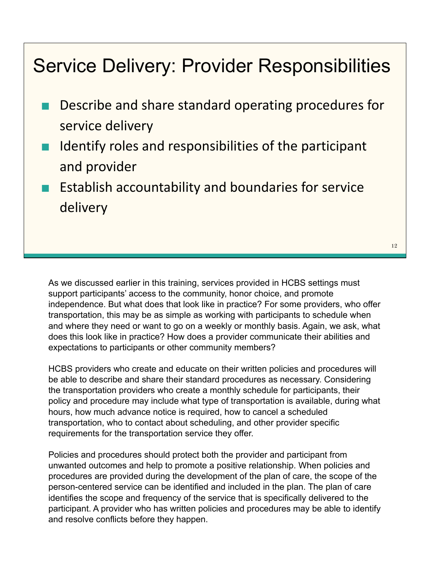#### Service Delivery: Provider Responsibilities

- Describe and share standard operating procedures for service delivery
- Identify roles and responsibilities of the participant and provider
- **Establish accountability and boundaries for service** delivery

As we discussed earlier in this training, services provided in HCBS settings must support participants' access to the community, honor choice, and promote independence. But what does that look like in practice? For some providers, who offer transportation, this may be as simple as working with participants to schedule when and where they need or want to go on a weekly or monthly basis. Again, we ask, what does this look like in practice? How does a provider communicate their abilities and expectations to participants or other community members?

HCBS providers who create and educate on their written policies and procedures will be able to describe and share their standard procedures as necessary. Considering the transportation providers who create a monthly schedule for participants, their policy and procedure may include what type of transportation is available, during what hours, how much advance notice is required, how to cancel a scheduled transportation, who to contact about scheduling, and other provider specific requirements for the transportation service they offer.

Policies and procedures should protect both the provider and participant from unwanted outcomes and help to promote a positive relationship. When policies and procedures are provided during the development of the plan of care, the scope of the person-centered service can be identified and included in the plan. The plan of care identifies the scope and frequency of the service that is specifically delivered to the participant. A provider who has written policies and procedures may be able to identify and resolve conflicts before they happen.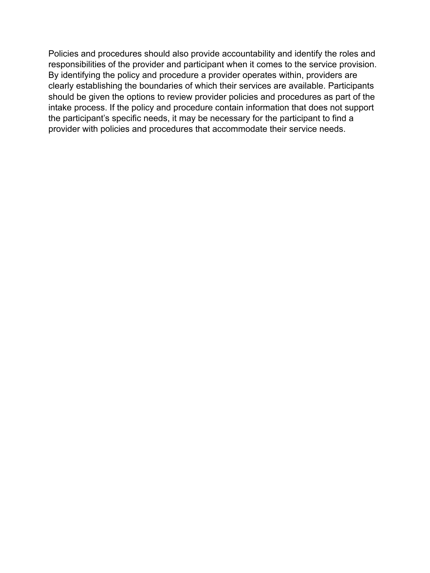Policies and procedures should also provide accountability and identify the roles and responsibilities of the provider and participant when it comes to the service provision. By identifying the policy and procedure a provider operates within, providers are clearly establishing the boundaries of which their services are available. Participants should be given the options to review provider policies and procedures as part of the intake process. If the policy and procedure contain information that does not support the participant's specific needs, it may be necessary for the participant to find a provider with policies and procedures that accommodate their service needs.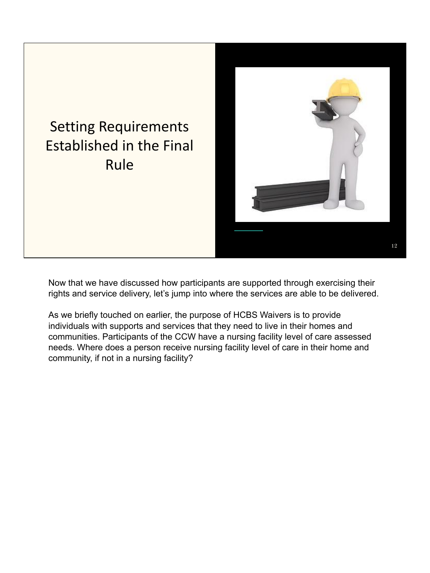

Now that we have discussed how participants are supported through exercising their rights and service delivery, let's jump into where the services are able to be delivered.

As we briefly touched on earlier, the purpose of HCBS Waivers is to provide individuals with supports and services that they need to live in their homes and communities. Participants of the CCW have a nursing facility level of care assessed needs. Where does a person receive nursing facility level of care in their home and community, if not in a nursing facility?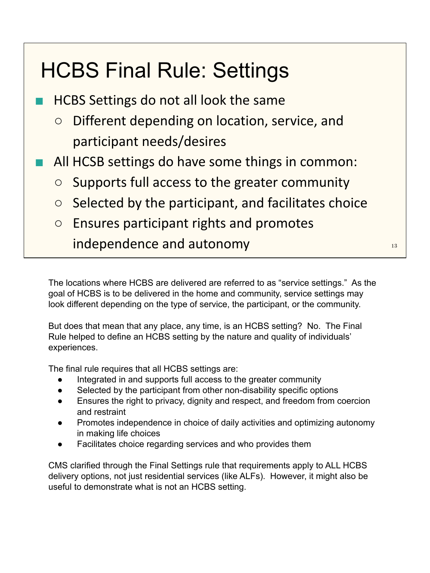#### HCBS Final Rule: Settings

- HCBS Settings do not all look the same
	- Different depending on location, service, and participant needs/desires
- All HCSB settings do have some things in common:
	- Supports full access to the greater community
	- $\circ$  Selected by the participant, and facilitates choice
	- Ensures participant rights and promotes independence and autonomy and the state of the state of the state of the state of the state of the state of the

The locations where HCBS are delivered are referred to as "service settings." As the goal of HCBS is to be delivered in the home and community, service settings may look different depending on the type of service, the participant, or the community.

But does that mean that any place, any time, is an HCBS setting? No. The Final Rule helped to define an HCBS setting by the nature and quality of individuals' experiences.

The final rule requires that all HCBS settings are:

- Integrated in and supports full access to the greater community
- Selected by the participant from other non-disability specific options
- Ensures the right to privacy, dignity and respect, and freedom from coercion and restraint
- Promotes independence in choice of daily activities and optimizing autonomy in making life choices
- Facilitates choice regarding services and who provides them

CMS clarified through the Final Settings rule that requirements apply to ALL HCBS delivery options, not just residential services (like ALFs). However, it might also be useful to demonstrate what is not an HCBS setting.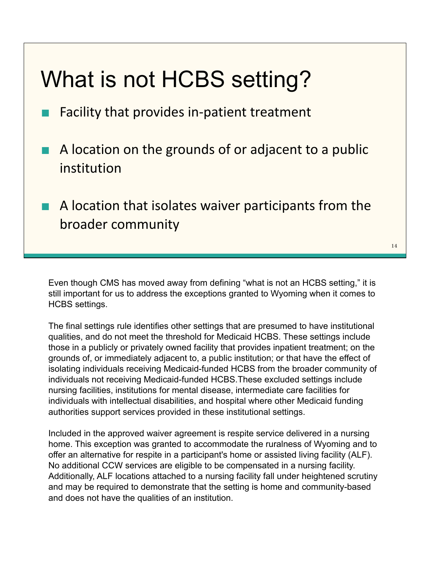#### What is not HCBS setting?

- Facility that provides in-patient treatment
- A location on the grounds of or adjacent to a public institution
- A location that isolates waiver participants from the broader community

14

Even though CMS has moved away from defining "what is not an HCBS setting," it is still important for us to address the exceptions granted to Wyoming when it comes to HCBS settings.

The final settings rule identifies other settings that are presumed to have institutional qualities, and do not meet the threshold for Medicaid HCBS. These settings include those in a publicly or privately owned facility that provides inpatient treatment; on the grounds of, or immediately adjacent to, a public institution; or that have the effect of isolating individuals receiving Medicaid-funded HCBS from the broader community of individuals not receiving Medicaid-funded HCBS.These excluded settings include nursing facilities, institutions for mental disease, intermediate care facilities for individuals with intellectual disabilities, and hospital where other Medicaid funding authorities support services provided in these institutional settings.

Included in the approved waiver agreement is respite service delivered in a nursing home. This exception was granted to accommodate the ruralness of Wyoming and to offer an alternative for respite in a participant's home or assisted living facility (ALF). No additional CCW services are eligible to be compensated in a nursing facility. Additionally, ALF locations attached to a nursing facility fall under heightened scrutiny and may be required to demonstrate that the setting is home and community-based and does not have the qualities of an institution.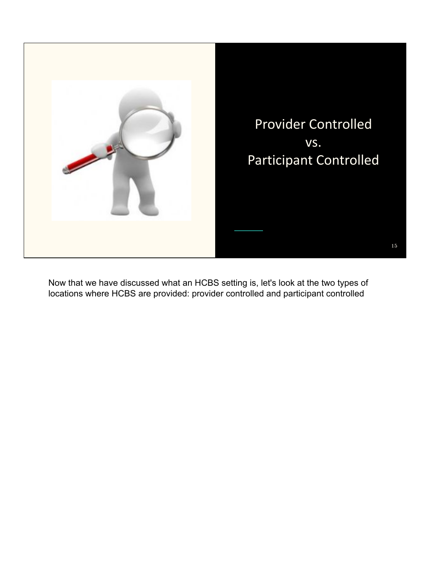

Now that we have discussed what an HCBS setting is, let's look at the two types of locations where HCBS are provided: provider controlled and participant controlled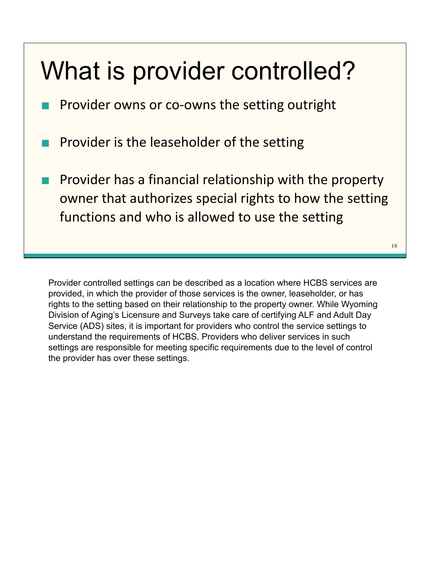## What is provider controlled?

Provider owns or co-owns the setting outright

Provider is the leaseholder of the setting

Provider has a financial relationship with the property owner that authorizes special rights to how the setting functions and who is allowed to use the setting

16

Provider controlled settings can be described as a location where HCBS services are provided, in which the provider of those services is the owner, leaseholder, or has rights to the setting based on their relationship to the property owner. While Wyoming Division of Aging's Licensure and Surveys take care of certifying ALF and Adult Day Service (ADS) sites, it is important for providers who control the service settings to understand the requirements of HCBS. Providers who deliver services in such settings are responsible for meeting specific requirements due to the level of control the provider has over these settings.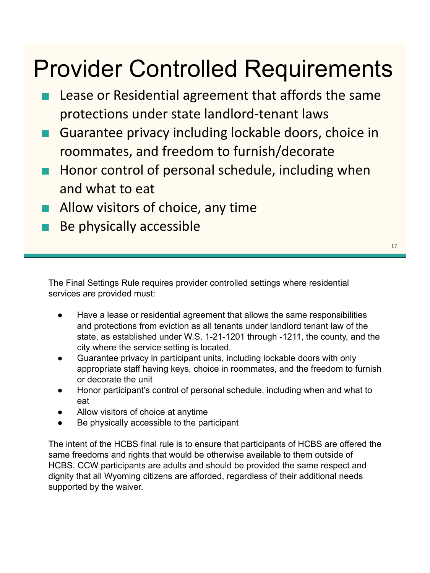#### Provider Controlled Requirements

- Lease or Residential agreement that affords the same protections under state landlord-tenant laws
- Guarantee privacy including lockable doors, choice in roommates, and freedom to furnish/decorate
- Honor control of personal schedule, including when and what to eat
- Allow visitors of choice, any time
- Be physically accessible

17

The Final Settings Rule requires provider controlled settings where residential services are provided must:

- Have a lease or residential agreement that allows the same responsibilities and protections from eviction as all tenants under landlord tenant law of the state, as established under W.S. 1-21-1201 through -1211, the county, and the city where the service setting is located.
- Guarantee privacy in participant units, including lockable doors with only appropriate staff having keys, choice in roommates, and the freedom to furnish or decorate the unit
- Honor participant's control of personal schedule, including when and what to eat
- Allow visitors of choice at anytime
- Be physically accessible to the participant

The intent of the HCBS final rule is to ensure that participants of HCBS are offered the same freedoms and rights that would be otherwise available to them outside of HCBS. CCW participants are adults and should be provided the same respect and dignity that all Wyoming citizens are afforded, regardless of their additional needs supported by the waiver.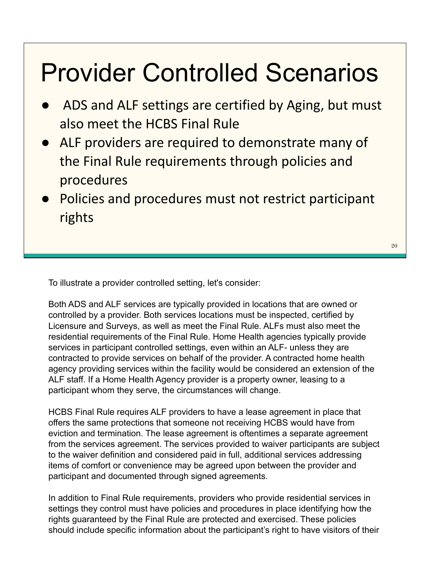## Provider Controlled Scenarios

- ADS and ALF settings are certified by Aging, but must also meet the HCBS Final Rule
- ALF providers are required to demonstrate many of the Final Rule requirements through policies and procedures
- Policies and procedures must not restrict participant rights

To illustrate a provider controlled setting, let's consider:

Both ADS and ALF services are typically provided in locations that are owned or controlled by a provider. Both services locations must be inspected, certified by Licensure and Surveys, as well as meet the Final Rule. ALFs must also meet the residential requirements of the Final Rule. Home Health agencies typically provide services in participant controlled settings, even within an ALF- unless they are contracted to provide services on behalf of the provider. A contracted home health agency providing services within the facility would be considered an extension of the ALF staff. If a Home Health Agency provider is a property owner, leasing to a participant whom they serve, the circumstances will change.

HCBS Final Rule requires ALF providers to have a lease agreement in place that offers the same protections that someone not receiving HCBS would have from eviction and termination. The lease agreement is oftentimes a separate agreement from the services agreement. The services provided to waiver participants are subject to the waiver definition and considered paid in full, additional services addressing items of comfort or convenience may be agreed upon between the provider and participant and documented through signed agreements.

In addition to Final Rule requirements, providers who provide residential services in settings they control must have policies and procedures in place identifying how the rights guaranteed by the Final Rule are protected and exercised. These policies should include specific information about the participant's right to have visitors of their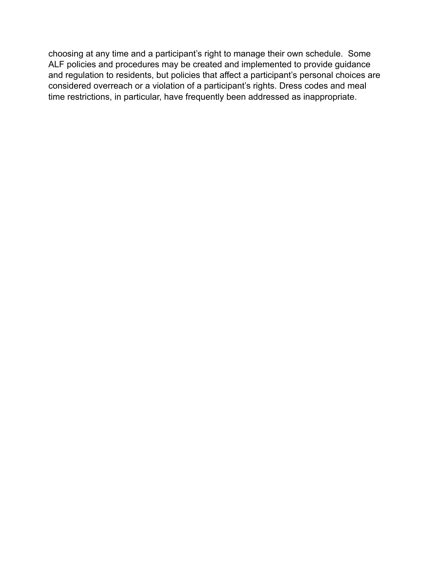choosing at any time and a participant's right to manage their own schedule. Some ALF policies and procedures may be created and implemented to provide guidance and regulation to residents, but policies that affect a participant's personal choices are considered overreach or a violation of a participant's rights. Dress codes and meal time restrictions, in particular, have frequently been addressed as inappropriate.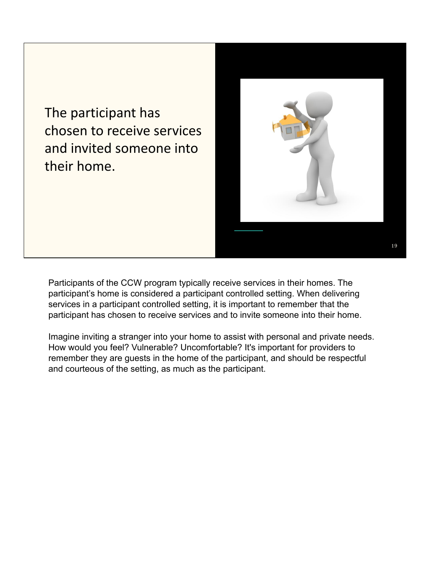The participant has chosen to receive services and invited someone into their home.



Participants of the CCW program typically receive services in their homes. The participant's home is considered a participant controlled setting. When delivering services in a participant controlled setting, it is important to remember that the participant has chosen to receive services and to invite someone into their home.

Imagine inviting a stranger into your home to assist with personal and private needs. How would you feel? Vulnerable? Uncomfortable? It's important for providers to remember they are guests in the home of the participant, and should be respectful and courteous of the setting, as much as the participant.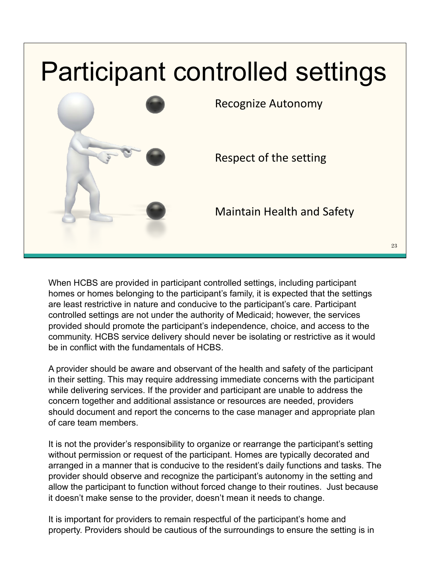

When HCBS are provided in participant controlled settings, including participant homes or homes belonging to the participant's family, it is expected that the settings are least restrictive in nature and conducive to the participant's care. Participant controlled settings are not under the authority of Medicaid; however, the services provided should promote the participant's independence, choice, and access to the community. HCBS service delivery should never be isolating or restrictive as it would be in conflict with the fundamentals of HCBS.

A provider should be aware and observant of the health and safety of the participant in their setting. This may require addressing immediate concerns with the participant while delivering services. If the provider and participant are unable to address the concern together and additional assistance or resources are needed, providers should document and report the concerns to the case manager and appropriate plan of care team members.

It is not the provider's responsibility to organize or rearrange the participant's setting without permission or request of the participant. Homes are typically decorated and arranged in a manner that is conducive to the resident's daily functions and tasks. The provider should observe and recognize the participant's autonomy in the setting and allow the participant to function without forced change to their routines. Just because it doesn't make sense to the provider, doesn't mean it needs to change.

It is important for providers to remain respectful of the participant's home and property. Providers should be cautious of the surroundings to ensure the setting is in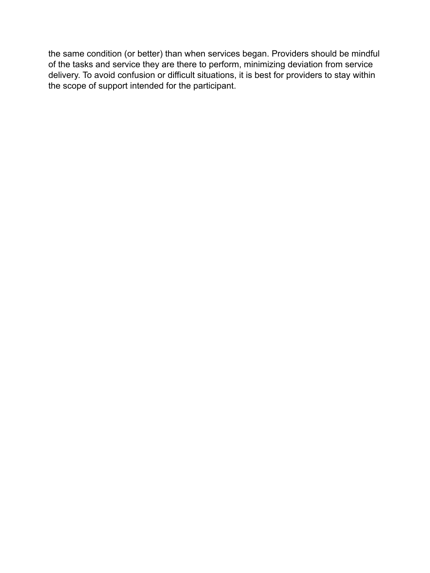the same condition (or better) than when services began. Providers should be mindful of the tasks and service they are there to perform, minimizing deviation from service delivery. To avoid confusion or difficult situations, it is best for providers to stay within the scope of support intended for the participant.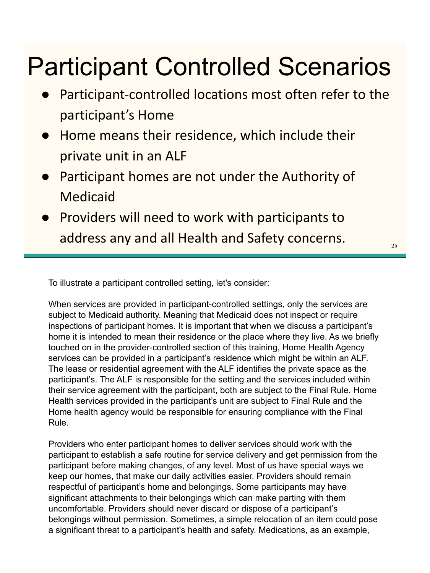## Participant Controlled Scenarios

- Participant-controlled locations most often refer to the participant's Home
- Home means their residence, which include their private unit in an ALF
- **Participant homes are not under the Authority of** Medicaid
- **Providers will need to work with participants to** address any and all Health and Safety concerns.

To illustrate a participant controlled setting, let's consider:

When services are provided in participant-controlled settings, only the services are subject to Medicaid authority. Meaning that Medicaid does not inspect or require inspections of participant homes. It is important that when we discuss a participant's home it is intended to mean their residence or the place where they live. As we briefly touched on in the provider-controlled section of this training, Home Health Agency services can be provided in a participant's residence which might be within an ALF. The lease or residential agreement with the ALF identifies the private space as the participant's. The ALF is responsible for the setting and the services included within their service agreement with the participant, both are subject to the Final Rule. Home Health services provided in the participant's unit are subject to Final Rule and the Home health agency would be responsible for ensuring compliance with the Final Rule.

Providers who enter participant homes to deliver services should work with the participant to establish a safe routine for service delivery and get permission from the participant before making changes, of any level. Most of us have special ways we keep our homes, that make our daily activities easier. Providers should remain respectful of participant's home and belongings. Some participants may have significant attachments to their belongings which can make parting with them uncomfortable. Providers should never discard or dispose of a participant's belongings without permission. Sometimes, a simple relocation of an item could pose a significant threat to a participant's health and safety. Medications, as an example,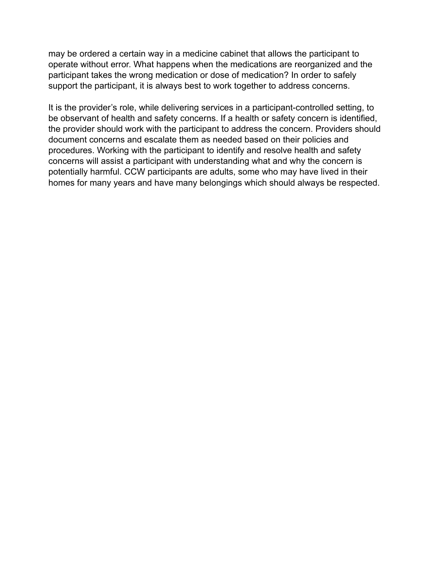may be ordered a certain way in a medicine cabinet that allows the participant to operate without error. What happens when the medications are reorganized and the participant takes the wrong medication or dose of medication? In order to safely support the participant, it is always best to work together to address concerns.

It is the provider's role, while delivering services in a participant-controlled setting, to be observant of health and safety concerns. If a health or safety concern is identified, the provider should work with the participant to address the concern. Providers should document concerns and escalate them as needed based on their policies and procedures. Working with the participant to identify and resolve health and safety concerns will assist a participant with understanding what and why the concern is potentially harmful. CCW participants are adults, some who may have lived in their homes for many years and have many belongings which should always be respected.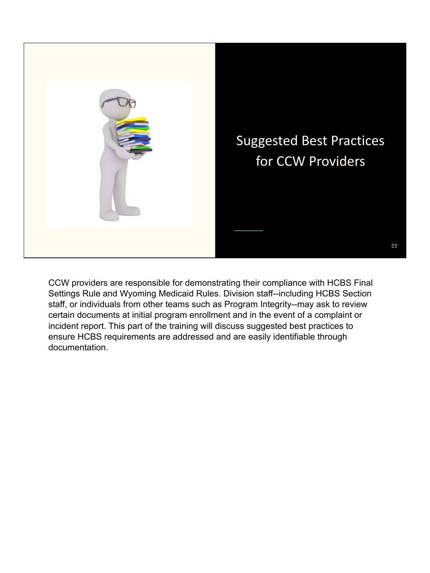

CCW providers are responsible for demonstrating their compliance with HCBS Final Settings Rule and Wyoming Medicaid Rules. Division staff--including HCBS Section staff, or individuals from other teams such as Program Integrity--may ask to review certain documents at initial program enrollment and in the event of a complaint or incident report. This part of the training will discuss suggested best practices to ensure HCBS requirements are addressed and are easily identifiable through documentation.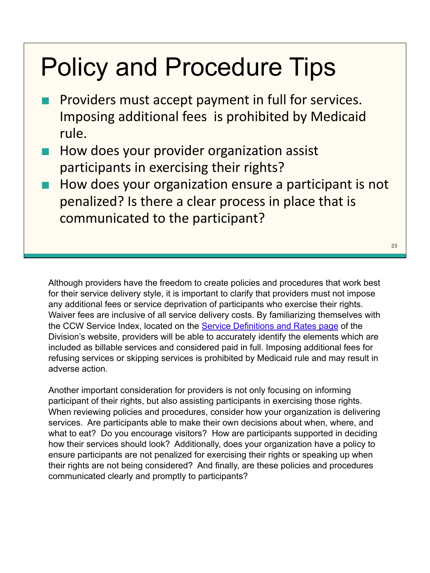### Policy and Procedure Tips

- Providers must accept payment in full for services. Imposing additional fees is prohibited by Medicaid rule.
- How does your provider organization assist participants in exercising their rights?
- How does your organization ensure a participant is not penalized? Is there a clear process in place that is communicated to the participant?

Although providers have the freedom to create policies and procedures that work best for their service delivery style, it is important to clarify that providers must not impose any additional fees or service deprivation of participants who exercise their rights. Waiver fees are inclusive of all service delivery costs. By familiarizing themselves with the CCW Service Index, located on the [Service Definitions and Rates page](https://health.wyo.gov/healthcarefin/hcbs/servicesandrates/) of the Division's website, providers will be able to accurately identify the elements which are included as billable services and considered paid in full. Imposing additional fees for refusing services or skipping services is prohibited by Medicaid rule and may result in adverse action.

Another important consideration for providers is not only focusing on informing participant of their rights, but also assisting participants in exercising those rights. When reviewing policies and procedures, consider how your organization is delivering services. Are participants able to make their own decisions about when, where, and what to eat? Do you encourage visitors? How are participants supported in deciding how their services should look? Additionally, does your organization have a policy to ensure participants are not penalized for exercising their rights or speaking up when their rights are not being considered? And finally, are these policies and procedures communicated clearly and promptly to participants?

23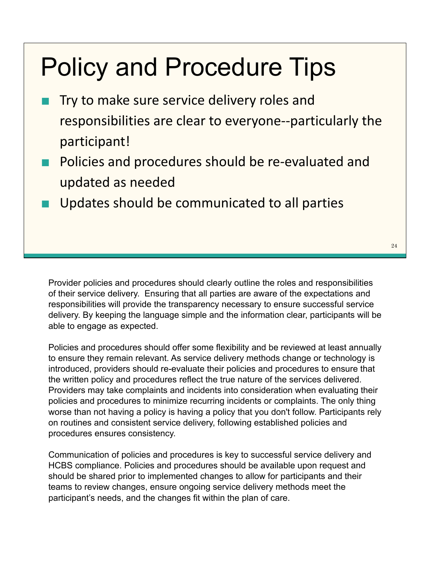### Policy and Procedure Tips

- Try to make sure service delivery roles and responsibilities are clear to everyone--particularly the participant!
- Policies and procedures should be re-evaluated and updated as needed
- Updates should be communicated to all parties

Provider policies and procedures should clearly outline the roles and responsibilities of their service delivery. Ensuring that all parties are aware of the expectations and responsibilities will provide the transparency necessary to ensure successful service delivery. By keeping the language simple and the information clear, participants will be able to engage as expected.

Policies and procedures should offer some flexibility and be reviewed at least annually to ensure they remain relevant. As service delivery methods change or technology is introduced, providers should re-evaluate their policies and procedures to ensure that the written policy and procedures reflect the true nature of the services delivered. Providers may take complaints and incidents into consideration when evaluating their policies and procedures to minimize recurring incidents or complaints. The only thing worse than not having a policy is having a policy that you don't follow. Participants rely on routines and consistent service delivery, following established policies and procedures ensures consistency.

Communication of policies and procedures is key to successful service delivery and HCBS compliance. Policies and procedures should be available upon request and should be shared prior to implemented changes to allow for participants and their teams to review changes, ensure ongoing service delivery methods meet the participant's needs, and the changes fit within the plan of care.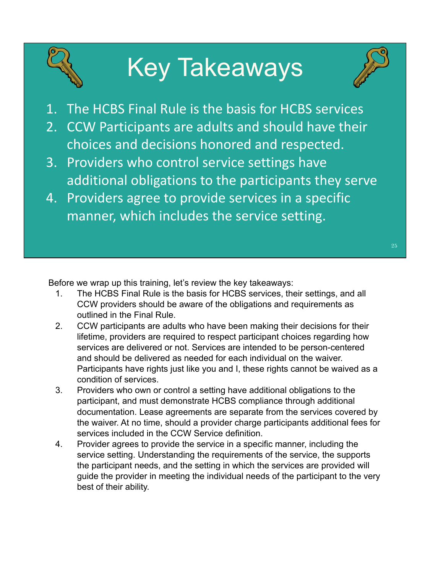## Key Takeaways



- 1. The HCBS Final Rule is the basis for HCBS services
- 2. CCW Participants are adults and should have their choices and decisions honored and respected.
- 3. Providers who control service settings have additional obligations to the participants they serve
- 4. Providers agree to provide services in a specific manner, which includes the service setting.

Before we wrap up this training, let's review the key takeaways:

- 1. The HCBS Final Rule is the basis for HCBS services, their settings, and all CCW providers should be aware of the obligations and requirements as outlined in the Final Rule.
- 2. CCW participants are adults who have been making their decisions for their lifetime, providers are required to respect participant choices regarding how services are delivered or not. Services are intended to be person-centered and should be delivered as needed for each individual on the waiver. Participants have rights just like you and I, these rights cannot be waived as a condition of services.
- 3. Providers who own or control a setting have additional obligations to the participant, and must demonstrate HCBS compliance through additional documentation. Lease agreements are separate from the services covered by the waiver. At no time, should a provider charge participants additional fees for services included in the CCW Service definition.
- 4. Provider agrees to provide the service in a specific manner, including the service setting. Understanding the requirements of the service, the supports the participant needs, and the setting in which the services are provided will guide the provider in meeting the individual needs of the participant to the very best of their ability.